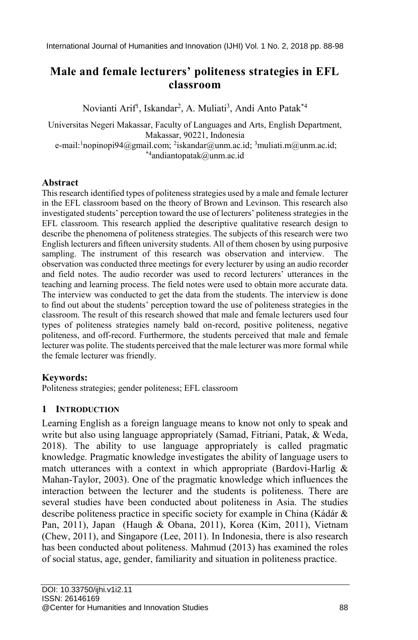# **Male and female lecturers' politeness strategies in EFL classroom**

Novianti Arif<sup>1</sup>, Iskandar<sup>2</sup>, A. Muliati<sup>3</sup>, Andi Anto Patak<sup>\*4</sup>

Universitas Negeri Makassar, Faculty of Languages and Arts, English Department, Makassar, 90221, Indonesia

e-mail:<sup>1</sup>nopinopi94@gmail.com; <sup>2</sup>iskandar@unm.ac.id; <sup>3</sup>muliati.m@unm.ac.id; \*4andiantopatak@unm.ac.id

## **Abstract**

This research identified types of politeness strategies used by a male and female lecturer in the EFL classroom based on the theory of Brown and Levinson. This research also investigated students' perception toward the use of lecturers' politeness strategies in the EFL classroom. This research applied the descriptive qualitative research design to describe the phenomena of politeness strategies. The subjects of this research were two English lecturers and fifteen university students. All of them chosen by using purposive sampling. The instrument of this research was observation and interview. observation was conducted three meetings for every lecturer by using an audio recorder and field notes. The audio recorder was used to record lecturers' utterances in the teaching and learning process. The field notes were used to obtain more accurate data. The interview was conducted to get the data from the students. The interview is done to find out about the students' perception toward the use of politeness strategies in the classroom. The result of this research showed that male and female lecturers used four types of politeness strategies namely bald on-record, positive politeness, negative politeness, and off-record. Furthermore, the students perceived that male and female lecturer was polite. The students perceived that the male lecturer was more formal while the female lecturer was friendly.

## **Keywords:**

Politeness strategies; gender politeness; EFL classroom

## **1 INTRODUCTION**

Learning English as a foreign language means to know not only to speak and write but also using language appropriately (Samad, Fitriani, Patak, & Weda, 2018). The ability to use language appropriately is called pragmatic knowledge. Pragmatic knowledge investigates the ability of language users to match utterances with a context in which appropriate (Bardovi-Harlig  $\&$ Mahan-Taylor, 2003). One of the pragmatic knowledge which influences the interaction between the lecturer and the students is politeness. There are several studies have been conducted about politeness in Asia. The studies describe politeness practice in specific society for example in China (Kádár & Pan, 2011), Japan (Haugh & Obana, 2011), Korea (Kim, 2011), Vietnam (Chew, 2011), and Singapore (Lee, 2011). In Indonesia, there is also research has been conducted about politeness. Mahmud (2013) has examined the roles of social status, age, gender, familiarity and situation in politeness practice.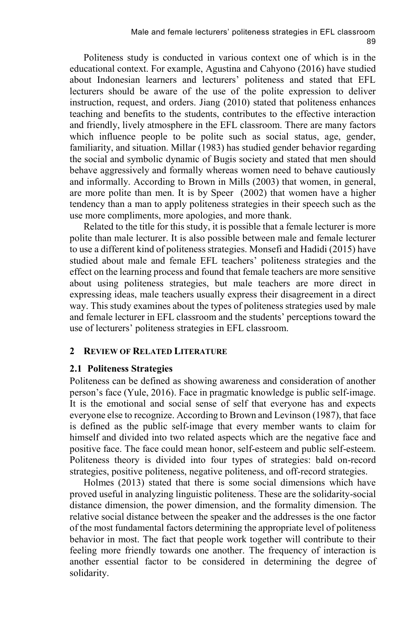Politeness study is conducted in various context one of which is in the educational context. For example, Agustina and Cahyono (2016) have studied about Indonesian learners and lecturers' politeness and stated that EFL lecturers should be aware of the use of the polite expression to deliver instruction, request, and orders. Jiang (2010) stated that politeness enhances teaching and benefits to the students, contributes to the effective interaction and friendly, lively atmosphere in the EFL classroom. There are many factors which influence people to be polite such as social status, age, gender, familiarity, and situation. Millar (1983) has studied gender behavior regarding the social and symbolic dynamic of Bugis society and stated that men should behave aggressively and formally whereas women need to behave cautiously and informally. According to Brown in Mills (2003) that women, in general, are more polite than men. It is by Speer (2002) that women have a higher tendency than a man to apply politeness strategies in their speech such as the use more compliments, more apologies, and more thank.

Related to the title for this study, it is possible that a female lecturer is more polite than male lecturer. It is also possible between male and female lecturer to use a different kind of politeness strategies. Monsefi and Hadidi (2015) have studied about male and female EFL teachers' politeness strategies and the effect on the learning process and found that female teachers are more sensitive about using politeness strategies, but male teachers are more direct in expressing ideas, male teachers usually express their disagreement in a direct way. This study examines about the types of politeness strategies used by male and female lecturer in EFL classroom and the students' perceptions toward the use of lecturers' politeness strategies in EFL classroom.

#### **2 REVIEW OF RELATED LITERATURE**

### **2.1 Politeness Strategies**

Politeness can be defined as showing awareness and consideration of another person's face (Yule, 2016). Face in pragmatic knowledge is public self-image. It is the emotional and social sense of self that everyone has and expects everyone else to recognize. According to Brown and Levinson (1987), that face is defined as the public self-image that every member wants to claim for himself and divided into two related aspects which are the negative face and positive face. The face could mean honor, self-esteem and public self-esteem. Politeness theory is divided into four types of strategies: bald on-record strategies, positive politeness, negative politeness, and off-record strategies.

Holmes (2013) stated that there is some social dimensions which have proved useful in analyzing linguistic politeness. These are the solidarity-social distance dimension, the power dimension, and the formality dimension. The relative social distance between the speaker and the addresses is the one factor of the most fundamental factors determining the appropriate level of politeness behavior in most. The fact that people work together will contribute to their feeling more friendly towards one another. The frequency of interaction is another essential factor to be considered in determining the degree of solidarity.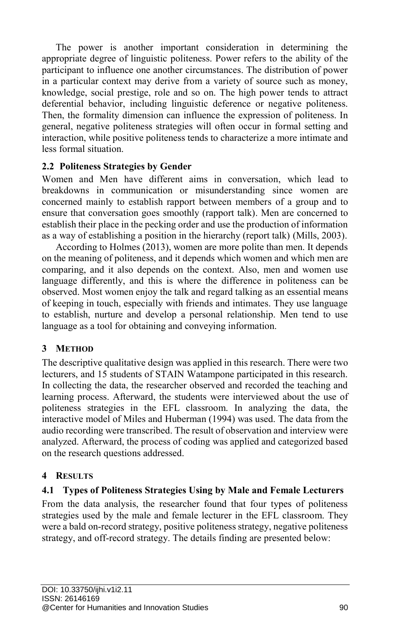The power is another important consideration in determining the appropriate degree of linguistic politeness. Power refers to the ability of the participant to influence one another circumstances. The distribution of power in a particular context may derive from a variety of source such as money, knowledge, social prestige, role and so on. The high power tends to attract deferential behavior, including linguistic deference or negative politeness. Then, the formality dimension can influence the expression of politeness. In general, negative politeness strategies will often occur in formal setting and interaction, while positive politeness tends to characterize a more intimate and less formal situation.

## **2.2 Politeness Strategies by Gender**

Women and Men have different aims in conversation, which lead to breakdowns in communication or misunderstanding since women are concerned mainly to establish rapport between members of a group and to ensure that conversation goes smoothly (rapport talk). Men are concerned to establish their place in the pecking order and use the production of information as a way of establishing a position in the hierarchy (report talk) (Mills, 2003).

According to Holmes (2013), women are more polite than men. It depends on the meaning of politeness, and it depends which women and which men are comparing, and it also depends on the context. Also, men and women use language differently, and this is where the difference in politeness can be observed. Most women enjoy the talk and regard talking as an essential means of keeping in touch, especially with friends and intimates. They use language to establish, nurture and develop a personal relationship. Men tend to use language as a tool for obtaining and conveying information.

## **3 METHOD**

The descriptive qualitative design was applied in this research. There were two lecturers, and 15 students of STAIN Watampone participated in this research. In collecting the data, the researcher observed and recorded the teaching and learning process. Afterward, the students were interviewed about the use of politeness strategies in the EFL classroom. In analyzing the data, the interactive model of Miles and Huberman (1994) was used. The data from the audio recording were transcribed. The result of observation and interview were analyzed. Afterward, the process of coding was applied and categorized based on the research questions addressed.

### **4 RESULTS**

### **4.1 Types of Politeness Strategies Using by Male and Female Lecturers**

From the data analysis, the researcher found that four types of politeness strategies used by the male and female lecturer in the EFL classroom. They were a bald on-record strategy, positive politeness strategy, negative politeness strategy, and off-record strategy. The details finding are presented below: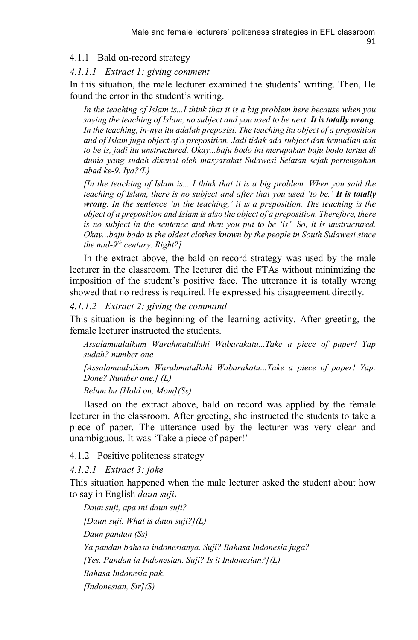### 4.1.1 Bald on-record strategy

#### *4.1.1.1 Extract 1: giving comment*

In this situation, the male lecturer examined the students' writing. Then, He found the error in the student's writing.

*In the teaching of Islam is...I think that it is a big problem here because when you saying the teaching of Islam, no subject and you used to be next. It is totally wrong. In the teaching, in-nya itu adalah preposisi. The teaching itu object of a preposition and of Islam juga object of a preposition. Jadi tidak ada subject dan kemudian ada to be is, jadi itu unstructured. Okay...baju bodo ini merupakan baju bodo tertua di dunia yang sudah dikenal oleh masyarakat Sulawesi Selatan sejak pertengahan abad ke-9. Iya?(L)*

*[In the teaching of Islam is... I think that it is a big problem. When you said the teaching of Islam, there is no subject and after that you used 'to be.' It is totally wrong. In the sentence 'in the teaching,' it is a preposition. The teaching is the object of a preposition and Islam is also the object of a preposition. Therefore, there is no subject in the sentence and then you put to be 'is'. So, it is unstructured. Okay...baju bodo is the oldest clothes known by the people in South Sulawesi since the mid-9 th century. Right?]*

In the extract above, the bald on-record strategy was used by the male lecturer in the classroom. The lecturer did the FTAs without minimizing the imposition of the student's positive face. The utterance it is totally wrong showed that no redress is required. He expressed his disagreement directly.

#### *4.1.1.2 Extract 2: giving the command*

This situation is the beginning of the learning activity. After greeting, the female lecturer instructed the students.

*Assalamualaikum Warahmatullahi Wabarakatu...Take a piece of paper! Yap sudah? number one*

*[Assalamualaikum Warahmatullahi Wabarakatu...Take a piece of paper! Yap. Done? Number one.] (L)*

#### *Belum bu [Hold on, Mom](Ss)*

Based on the extract above, bald on record was applied by the female lecturer in the classroom. After greeting, she instructed the students to take a piece of paper. The utterance used by the lecturer was very clear and unambiguous. It was 'Take a piece of paper!'

#### 4.1.2 Positive politeness strategy

*4.1.2.1 Extract 3: joke*

This situation happened when the male lecturer asked the student about how to say in English *daun suji***.**

*Daun suji, apa ini daun suji? [Daun suji. What is daun suji?](L) Daun pandan (Ss) Ya pandan bahasa indonesianya. Suji? Bahasa Indonesia juga? [Yes. Pandan in Indonesian. Suji? Is it Indonesian?](L) Bahasa Indonesia pak. [Indonesian, Sir](S)*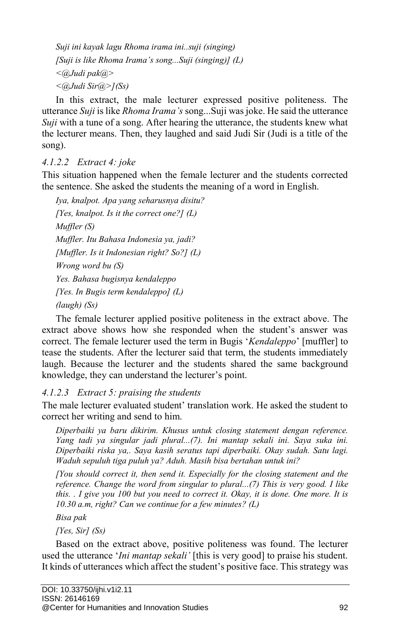*Suji ini kayak lagu Rhoma irama ini..suji (singing) [Suji is like Rhoma Irama's song...Suji (singing)] (L) <@Judi pak@> <@Judi Sir@>](Ss)*

In this extract, the male lecturer expressed positive politeness. The utterance *Suji* is like *Rhoma Irama's* song...Suji was joke. He said the utterance *Suji* with a tune of a song. After hearing the utterance, the students knew what the lecturer means. Then, they laughed and said Judi Sir (Judi is a title of the song).

## *4.1.2.2 Extract 4: joke*

This situation happened when the female lecturer and the students corrected the sentence. She asked the students the meaning of a word in English.

```
Iya, knalpot. Apa yang seharusnya disitu?
[Yes, knalpot. Is it the correct one?] (L)
Muffler (S)
Muffler. Itu Bahasa Indonesia ya, jadi?
[Muffler. Is it Indonesian right? So?] (L)
Wrong word bu (S)
Yes. Bahasa bugisnya kendaleppo
[Yes. In Bugis term kendaleppo] (L)
(laugh) (Ss)
```
The female lecturer applied positive politeness in the extract above. The extract above shows how she responded when the student's answer was correct. The female lecturer used the term in Bugis '*Kendaleppo*' [muffler] to tease the students. After the lecturer said that term, the students immediately laugh. Because the lecturer and the students shared the same background knowledge, they can understand the lecturer's point.

## *4.1.2.3 Extract 5: praising the students*

The male lecturer evaluated student' translation work. He asked the student to correct her writing and send to him.

*Diperbaiki ya baru dikirim. Khusus untuk closing statement dengan reference. Yang tadi ya singular jadi plural...(7). Ini mantap sekali ini. Saya suka ini. Diperbaiki riska ya,. Saya kasih seratus tapi diperbaiki. Okay sudah. Satu lagi. Waduh sepuluh tiga puluh ya? Aduh. Masih bisa bertahan untuk ini?*

*[You should correct it, then send it. Especially for the closing statement and the reference. Change the word from singular to plural...(7) This is very good. I like this. . I give you 100 but you need to correct it. Okay, it is done. One more. It is 10.30 a.m, right? Can we continue for a few minutes? (L)*

*Bisa pak*

*[Yes, Sir] (Ss)*

Based on the extract above, positive politeness was found. The lecturer used the utterance '*Ini mantap sekali'* [this is very good] to praise his student. It kinds of utterances which affect the student's positive face. This strategy was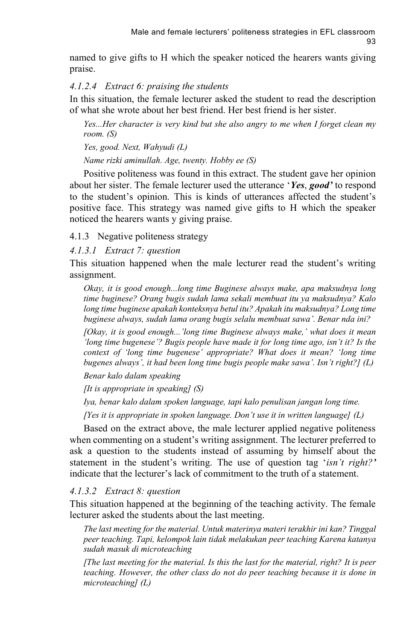named to give gifts to H which the speaker noticed the hearers wants giving praise.

### *4.1.2.4 Extract 6: praising the students*

In this situation, the female lecturer asked the student to read the description of what she wrote about her best friend. Her best friend is her sister.

*Yes...Her character is very kind but she also angry to me when I forget clean my room. (S)*

*Yes, good. Next, Wahyudi (L)*

*Name rizki aminullah. Age, twenty. Hobby ee (S)*

Positive politeness was found in this extract. The student gave her opinion about her sister. The female lecturer used the utterance '*Yes*, *good'* to respond to the student's opinion. This is kinds of utterances affected the student's positive face. This strategy was named give gifts to H which the speaker noticed the hearers wants y giving praise.

4.1.3 Negative politeness strategy

*4.1.3.1 Extract 7: question*

This situation happened when the male lecturer read the student's writing assignment.

*Okay, it is good enough...long time Buginese always make, apa maksudnya long time buginese? Orang bugis sudah lama sekali membuat itu ya maksudnya? Kalo long time buginese apakah konteksnya betul itu? Apakah itu maksudnya? Long time buginese always, sudah lama orang bugis selalu membuat sawa'. Benar nda ini?*

*[Okay, it is good enough...'long time Buginese always make,' what does it mean 'long time bugenese'? Bugis people have made it for long time ago, isn't it? Is the context of 'long time bugenese' appropriate? What does it mean? 'long time bugenes always', it had been long time bugis people make sawa'. Isn't right?] (L)*

*Benar kalo dalam speaking*

*[It is appropriate in speaking] (S)*

*Iya, benar kalo dalam spoken language, tapi kalo penulisan jangan long time.*

*[Yes it is appropriate in spoken language. Don't use it in written language] (L)*

Based on the extract above, the male lecturer applied negative politeness when commenting on a student's writing assignment. The lecturer preferred to ask a question to the students instead of assuming by himself about the statement in the student's writing. The use of question tag '*isn't right?'* indicate that the lecturer's lack of commitment to the truth of a statement.

### *4.1.3.2 Extract 8: question*

This situation happened at the beginning of the teaching activity. The female lecturer asked the students about the last meeting.

*The last meeting for the material. Untuk materinya materi terakhir ini kan? Tinggal peer teaching. Tapi, kelompok lain tidak melakukan peer teaching Karena katanya sudah masuk di microteaching*

*[The last meeting for the material. Is this the last for the material, right? It is peer teaching. However, the other class do not do peer teaching because it is done in microteaching] (L)*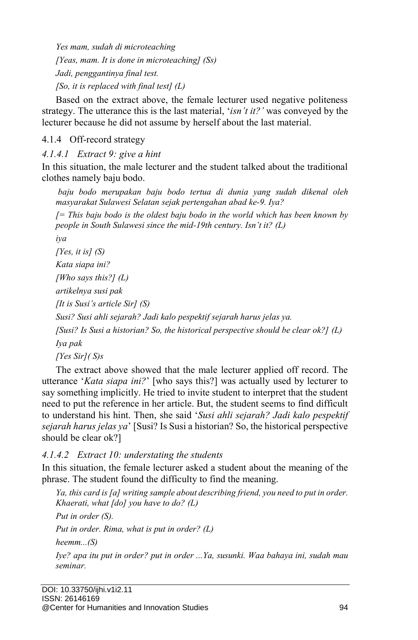*Yes mam, sudah di microteaching [Yeas, mam. It is done in microteaching] (Ss) Jadi, penggantinya final test. [So, it is replaced with final test] (L)*

Based on the extract above, the female lecturer used negative politeness strategy. The utterance this is the last material, '*isn't it?'* was conveyed by the lecturer because he did not assume by herself about the last material.

## 4.1.4 Off-record strategy

*4.1.4.1 Extract 9: give a hint*

In this situation, the male lecturer and the student talked about the traditional clothes namely baju bodo.

*baju bodo merupakan baju bodo tertua di dunia yang sudah dikenal oleh masyarakat Sulawesi Selatan sejak pertengahan abad ke-9. Iya?*

*[= This baju bodo is the oldest baju bodo in the world which has been known by people in South Sulawesi since the mid-19th century. Isn't it? (L)*

*iya*

*[Yes, it is] (S) Kata siapa ini?*

*[Who says this?] (L)*

*artikelnya susi pak*

*[It is Susi's article Sir] (S)*

*Susi? Susi ahli sejarah? Jadi kalo pespektif sejarah harus jelas ya.* 

*[Susi? Is Susi a historian? So, the historical perspective should be clear ok?] (L) Iya pak*

*[Yes Sir]( S)s*

The extract above showed that the male lecturer applied off record. The utterance '*Kata siapa ini?*' [who says this?] was actually used by lecturer to say something implicitly. He tried to invite student to interpret that the student need to put the reference in her article. But, the student seems to find difficult to understand his hint. Then, she said '*Susi ahli sejarah? Jadi kalo pespektif sejarah harus jelas ya*' [Susi? Is Susi a historian? So, the historical perspective should be clear ok?]

*4.1.4.2 Extract 10: understating the students*

In this situation, the female lecturer asked a student about the meaning of the phrase. The student found the difficulty to find the meaning.

*Ya, this card is [a] writing sample about describing friend, you need to put in order. Khaerati, what [do] you have to do? (L)*

*Put in order (S).*

*Put in order. Rima, what is put in order? (L)*

*heemm...(S)*

*Iye? apa itu put in order? put in order ...Ya, susunki. Waa bahaya ini, sudah mau seminar.*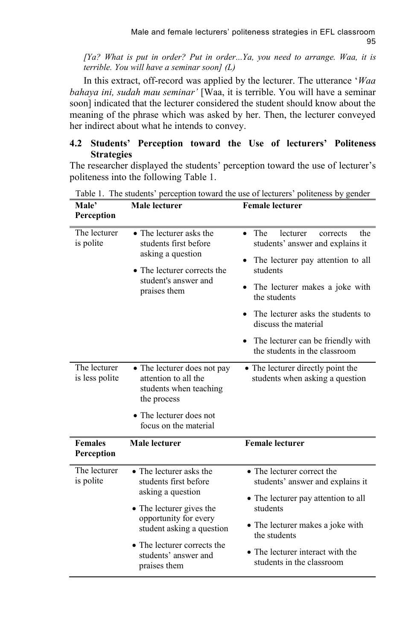*[Ya? What is put in order? Put in order...Ya, you need to arrange. Waa, it is terrible. You will have a seminar soon] (L)*

In this extract, off-record was applied by the lecturer. The utterance '*Waa bahaya ini, sudah mau seminar'* [Waa, it is terrible. You will have a seminar soon] indicated that the lecturer considered the student should know about the meaning of the phrase which was asked by her. Then, the lecturer conveyed her indirect about what he intends to convey.

## **4.2 Students' Perception toward the Use of lecturers' Politeness Strategies**

The researcher displayed the students' perception toward the use of lecturer's politeness into the following Table 1.

| Male lecturer                                                                                                                                                                                                  | <b>Female lecturer</b>                                                                                                                                                                                                                                                                                                                              |
|----------------------------------------------------------------------------------------------------------------------------------------------------------------------------------------------------------------|-----------------------------------------------------------------------------------------------------------------------------------------------------------------------------------------------------------------------------------------------------------------------------------------------------------------------------------------------------|
| • The lecturer asks the<br>students first before<br>asking a question<br>• The lecturer corrects the<br>student's answer and<br>praises them                                                                   | The<br>lecturer<br>corrects<br>the<br>$\bullet$<br>students' answer and explains it<br>The lecturer pay attention to all<br>$\bullet$<br>students<br>The lecturer makes a joke with<br>the students<br>The lecturer asks the students to<br>$\bullet$<br>discuss the material<br>The lecturer can be friendly with<br>the students in the classroom |
| • The lecturer does not pay<br>attention to all the<br>students when teaching<br>the process<br>• The lecturer does not<br>focus on the material                                                               | • The lecturer directly point the<br>students when asking a question                                                                                                                                                                                                                                                                                |
| Male lecturer                                                                                                                                                                                                  | <b>Female lecturer</b>                                                                                                                                                                                                                                                                                                                              |
| • The lecturer asks the<br>students first before<br>asking a question<br>• The lecturer gives the<br>opportunity for every<br>student asking a question<br>• The lecturer corrects the<br>students' answer and | • The lecturer correct the<br>students' answer and explains it<br>• The lecturer pay attention to all<br>students<br>• The lecturer makes a joke with<br>the students<br>• The lecturer interact with the<br>students in the classroom                                                                                                              |
|                                                                                                                                                                                                                |                                                                                                                                                                                                                                                                                                                                                     |

Table 1. The students' perception toward the use of lecturers' politeness by gender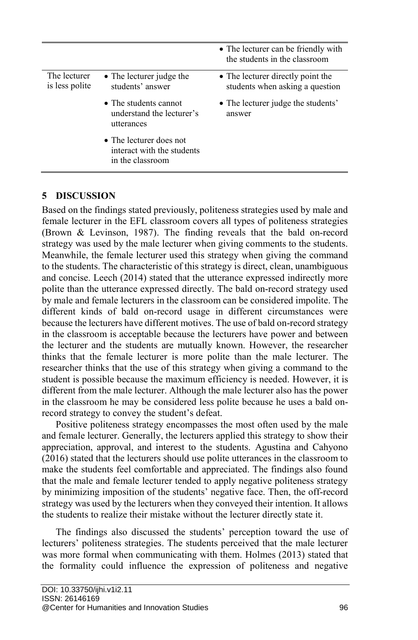|                                |                                                                                   | • The lecturer can be friendly with<br>the students in the classroom |
|--------------------------------|-----------------------------------------------------------------------------------|----------------------------------------------------------------------|
| The lecturer<br>is less polite | • The lecturer judge the<br>students' answer                                      | • The lecturer directly point the<br>students when asking a question |
|                                | • The students cannot<br>understand the lecturer's<br>utterances                  | • The lecturer judge the students'<br>answer                         |
|                                | $\bullet$ The lecturer does not<br>interact with the students<br>in the classroom |                                                                      |

## **5 DISCUSSION**

Based on the findings stated previously, politeness strategies used by male and female lecturer in the EFL classroom covers all types of politeness strategies (Brown & Levinson, 1987). The finding reveals that the bald on-record strategy was used by the male lecturer when giving comments to the students. Meanwhile, the female lecturer used this strategy when giving the command to the students. The characteristic of this strategy is direct, clean, unambiguous and concise. Leech (2014) stated that the utterance expressed indirectly more polite than the utterance expressed directly. The bald on-record strategy used by male and female lecturers in the classroom can be considered impolite. The different kinds of bald on-record usage in different circumstances were because the lecturers have different motives. The use of bald on-record strategy in the classroom is acceptable because the lecturers have power and between the lecturer and the students are mutually known. However, the researcher thinks that the female lecturer is more polite than the male lecturer. The researcher thinks that the use of this strategy when giving a command to the student is possible because the maximum efficiency is needed. However, it is different from the male lecturer. Although the male lecturer also has the power in the classroom he may be considered less polite because he uses a bald onrecord strategy to convey the student's defeat.

Positive politeness strategy encompasses the most often used by the male and female lecturer. Generally, the lecturers applied this strategy to show their appreciation, approval, and interest to the students. Agustina and Cahyono (2016) stated that the lecturers should use polite utterances in the classroom to make the students feel comfortable and appreciated. The findings also found that the male and female lecturer tended to apply negative politeness strategy by minimizing imposition of the students' negative face. Then, the off-record strategy was used by the lecturers when they conveyed their intention. It allows the students to realize their mistake without the lecturer directly state it.

The findings also discussed the students' perception toward the use of lecturers' politeness strategies. The students perceived that the male lecturer was more formal when communicating with them. Holmes (2013) stated that the formality could influence the expression of politeness and negative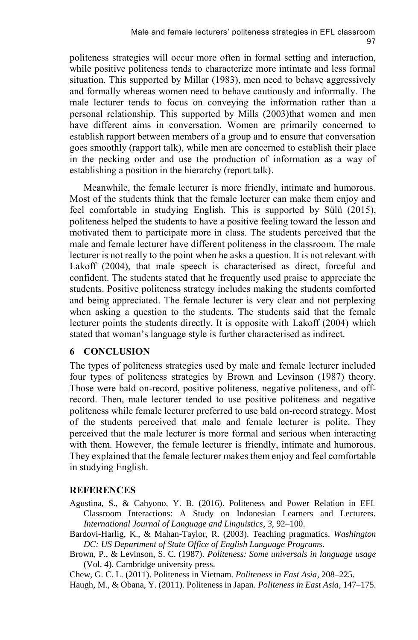politeness strategies will occur more often in formal setting and interaction, while positive politeness tends to characterize more intimate and less formal situation. This supported by Millar (1983), men need to behave aggressively and formally whereas women need to behave cautiously and informally. The male lecturer tends to focus on conveying the information rather than a personal relationship. This supported by Mills (2003)that women and men have different aims in conversation. Women are primarily concerned to establish rapport between members of a group and to ensure that conversation goes smoothly (rapport talk), while men are concerned to establish their place in the pecking order and use the production of information as a way of establishing a position in the hierarchy (report talk).

Meanwhile, the female lecturer is more friendly, intimate and humorous. Most of the students think that the female lecturer can make them enjoy and feel comfortable in studying English. This is supported by Sülü (2015), politeness helped the students to have a positive feeling toward the lesson and motivated them to participate more in class. The students perceived that the male and female lecturer have different politeness in the classroom. The male lecturer is not really to the point when he asks a question. It is not relevant with Lakoff (2004), that male speech is characterised as direct, forceful and confident. The students stated that he frequently used praise to appreciate the students. Positive politeness strategy includes making the students comforted and being appreciated. The female lecturer is very clear and not perplexing when asking a question to the students. The students said that the female lecturer points the students directly. It is opposite with Lakoff (2004) which stated that woman's language style is further characterised as indirect.

#### **6 CONCLUSION**

The types of politeness strategies used by male and female lecturer included four types of politeness strategies by Brown and Levinson (1987) theory. Those were bald on-record, positive politeness, negative politeness, and offrecord. Then, male lecturer tended to use positive politeness and negative politeness while female lecturer preferred to use bald on-record strategy. Most of the students perceived that male and female lecturer is polite. They perceived that the male lecturer is more formal and serious when interacting with them. However, the female lecturer is friendly, intimate and humorous. They explained that the female lecturer makes them enjoy and feel comfortable in studying English.

### **REFERENCES**

- Agustina, S., & Cahyono, Y. B. (2016). Politeness and Power Relation in EFL Classroom Interactions: A Study on Indonesian Learners and Lecturers. *International Journal of Language and Linguistics*, *3*, 92–100.
- Bardovi-Harlig, K., & Mahan-Taylor, R. (2003). Teaching pragmatics. *Washington DC: US Department of State Office of English Language Programs*.
- Brown, P., & Levinson, S. C. (1987). *Politeness: Some universals in language usage* (Vol. 4). Cambridge university press.

Chew, G. C. L. (2011). Politeness in Vietnam. *Politeness in East Asia*, 208–225.

Haugh, M., & Obana, Y. (2011). Politeness in Japan. *Politeness in East Asia*, 147–175.